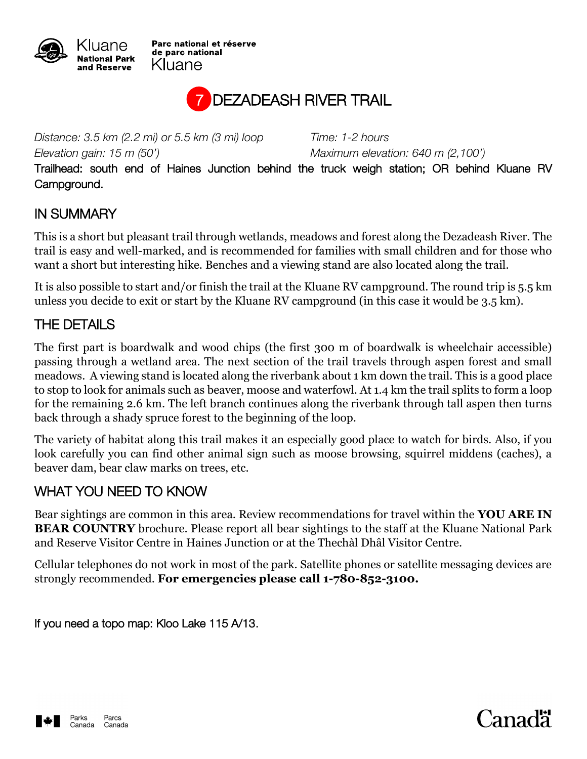

Parc national et réserve de parc national Kluane



*Distance: 3.5 km (2.2 mi) or 5.5 km (3 mi) loop Time: 1-2 hours Elevation gain: 15 m (50') Maximum elevation: 640 m (2,100')*

Trailhead: south end of Haines Junction behind the truck weigh station; OR behind Kluane RV Campground.

## IN SUMMARY

This is a short but pleasant trail through wetlands, meadows and forest along the Dezadeash River. The trail is easy and well-marked, and is recommended for families with small children and for those who want a short but interesting hike. Benches and a viewing stand are also located along the trail.

It is also possible to start and/or finish the trail at the Kluane RV campground. The round trip is 5.5 km unless you decide to exit or start by the Kluane RV campground (in this case it would be 3.5 km).

## THE DETAILS

The first part is boardwalk and wood chips (the first 300 m of boardwalk is wheelchair accessible) passing through a wetland area. The next section of the trail travels through aspen forest and small meadows. A viewing stand is located along the riverbank about 1 km down the trail. This is a good place to stop to look for animals such as beaver, moose and waterfowl. At 1.4 km the trail splits to form a loop for the remaining 2.6 km. The left branch continues along the riverbank through tall aspen then turns back through a shady spruce forest to the beginning of the loop.

The variety of habitat along this trail makes it an especially good place to watch for birds. Also, if you look carefully you can find other animal sign such as moose browsing, squirrel middens (caches), a beaver dam, bear claw marks on trees, etc.

## WHAT YOU NEED TO KNOW

Bear sightings are common in this area. Review recommendations for travel within the **YOU ARE IN BEAR COUNTRY** brochure. Please report all bear sightings to the staff at the Kluane National Park and Reserve Visitor Centre in Haines Junction or at the Thechàl Dhâl Visitor Centre.

Cellular telephones do not work in most of the park. Satellite phones or satellite messaging devices are strongly recommended. **For emergencies please call 1-780-852-3100.**

If you need a topo map: Kloo Lake 115 A/13.